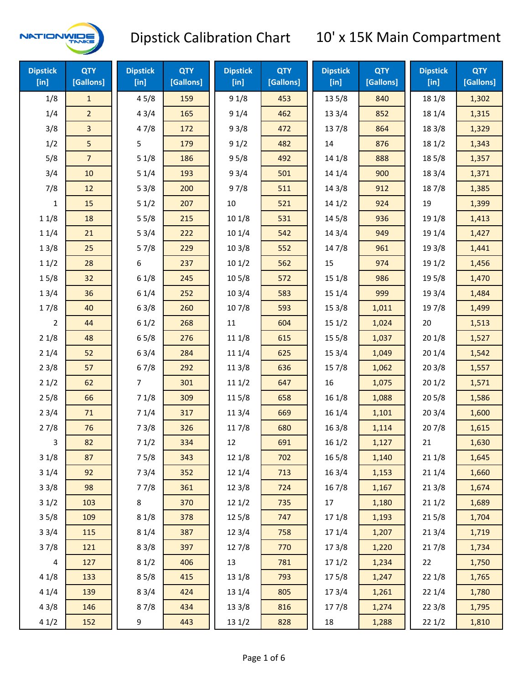

| <b>Dipstick</b><br>[in] | <b>QTY</b><br>[Gallons] | <b>Dipstick</b><br>[in] | <b>QTY</b><br>[Gallons] | <b>Dipstick</b><br>[in] | <b>QTY</b><br>[Gallons] | <b>Dipstick</b><br>[in] | <b>QTY</b><br>[Gallons] | <b>Dipstick</b><br>[in] | <b>QTY</b><br>[Gallons] |
|-------------------------|-------------------------|-------------------------|-------------------------|-------------------------|-------------------------|-------------------------|-------------------------|-------------------------|-------------------------|
| 1/8                     | $\mathbf{1}$            | 45/8                    | 159                     | 91/8                    | 453                     | 13 5/8                  | 840                     | 18 1/8                  | 1,302                   |
| 1/4                     | $\overline{2}$          | 43/4                    | 165                     | 91/4                    | 462                     | 13 3/4                  | 852                     | 18 1/4                  | 1,315                   |
| 3/8                     | $\overline{\mathbf{3}}$ | 47/8                    | 172                     | 93/8                    | 472                     | 137/8                   | 864                     | 18 3/8                  | 1,329                   |
| 1/2                     | 5                       | 5                       | 179                     | 91/2                    | 482                     | 14                      | 876                     | 18 1/2                  | 1,343                   |
| 5/8                     | $\overline{7}$          | 51/8                    | 186                     | 95/8                    | 492                     | 14 1/8                  | 888                     | 185/8                   | 1,357                   |
| 3/4                     | 10                      | 51/4                    | 193                     | 93/4                    | 501                     | 14 1/4                  | 900                     | 18 3/4                  | 1,371                   |
| 7/8                     | 12                      | 53/8                    | 200                     | 97/8                    | 511                     | 14 3/8                  | 912                     | 187/8                   | 1,385                   |
| 1                       | 15                      | 51/2                    | 207                     | 10                      | 521                     | 14 1/2                  | 924                     | 19                      | 1,399                   |
| 11/8                    | 18                      | 55/8                    | 215                     | 101/8                   | 531                     | 14 5/8                  | 936                     | 19 1/8                  | 1,413                   |
| 11/4                    | 21                      | 53/4                    | 222                     | 101/4                   | 542                     | 143/4                   | 949                     | 19 1/4                  | 1,427                   |
| 13/8                    | 25                      | 57/8                    | 229                     | 103/8                   | 552                     | 147/8                   | 961                     | 19 3/8                  | 1,441                   |
| 11/2                    | 28                      | 6                       | 237                     | 101/2                   | 562                     | 15                      | 974                     | 191/2                   | 1,456                   |
| 15/8                    | 32                      | 61/8                    | 245                     | 10 <sub>5/8</sub>       | 572                     | 15 1/8                  | 986                     | 19 5/8                  | 1,470                   |
| 13/4                    | 36                      | 61/4                    | 252                     | 103/4                   | 583                     | 151/4                   | 999                     | 19 3/4                  | 1,484                   |
| 17/8                    | 40                      | 63/8                    | 260                     | 107/8                   | 593                     | 15 3/8                  | 1,011                   | 197/8                   | 1,499                   |
| 2                       | 44                      | 61/2                    | 268                     | 11                      | 604                     | 151/2                   | 1,024                   | 20                      | 1,513                   |
| 21/8                    | 48                      | 65/8                    | 276                     | 11 1/8                  | 615                     | 15 5/8                  | 1,037                   | 201/8                   | 1,527                   |
| 21/4                    | 52                      | 63/4                    | 284                     | 11 1/4                  | 625                     | 153/4                   | 1,049                   | 201/4                   | 1,542                   |
| 23/8                    | 57                      | 67/8                    | 292                     | 11 3/8                  | 636                     | 15 7/8                  | 1,062                   | 203/8                   | 1,557                   |
| 21/2                    | 62                      | 7                       | 301                     | 111/2                   | 647                     | 16                      | 1,075                   | 201/2                   | 1,571                   |
| 25/8                    | 66                      | 71/8                    | 309                     | 11 5/8                  | 658                     | 161/8                   | 1,088                   | 205/8                   | 1,586                   |
| 23/4                    | 71                      | 71/4                    | 317                     | 113/4                   | 669                     | 16 1/4                  | 1,101                   | 203/4                   | 1,600                   |
| 27/8                    | 76                      | 73/8                    | 326                     | 11 7/8                  | 680                     | 163/8                   | 1,114                   | 207/8                   | 1,615                   |
| 3                       | 82                      | 71/2                    | 334                     | 12                      | 691                     | 16 1/2                  | 1,127                   | 21                      | 1,630                   |
| 31/8                    | 87                      | 75/8                    | 343                     | 12 1/8                  | 702                     | 16 5/8                  | 1,140                   | 211/8                   | 1,645                   |
| 31/4                    | 92                      | 73/4                    | 352                     | 12 1/4                  | 713                     | 16 3/4                  | 1,153                   | 211/4                   | 1,660                   |
| 33/8                    | 98                      | 77/8                    | 361                     | 12 3/8                  | 724                     | 16 7/8                  | 1,167                   | 213/8                   | 1,674                   |
| 31/2                    | 103                     | 8                       | 370                     | 121/2                   | 735                     | 17                      | 1,180                   | 211/2                   | 1,689                   |
| 35/8                    | 109                     | 81/8                    | 378                     | 125/8                   | 747                     | 17 1/8                  | 1,193                   | 215/8                   | 1,704                   |
| 33/4                    | 115                     | 81/4                    | 387                     | 123/4                   | 758                     | 17 1/4                  | 1,207                   | 213/4                   | 1,719                   |
| 37/8                    | 121                     | 83/8                    | 397                     | 12 7/8                  | 770                     | 17 3/8                  | 1,220                   | 217/8                   | 1,734                   |
| 4                       | 127                     | 81/2                    | 406                     | 13                      | 781                     | 171/2                   | 1,234                   | 22                      | 1,750                   |
| 41/8                    | 133                     | 85/8                    | 415                     | 13 1/8                  | 793                     | 175/8                   | 1,247                   | 221/8                   | 1,765                   |
| 41/4                    | 139                     | 83/4                    | 424                     | 13 1/4                  | 805                     | 17 3/4                  | 1,261                   | 22 1/4                  | 1,780                   |
| 43/8                    | 146                     | 87/8                    | 434                     | 13 3/8                  | 816                     | 177/8                   | 1,274                   | 223/8                   | 1,795                   |
| 41/2                    | 152                     | 9                       | 443                     | 13 1/2                  | 828                     | 18                      | 1,288                   | 221/2                   | 1,810                   |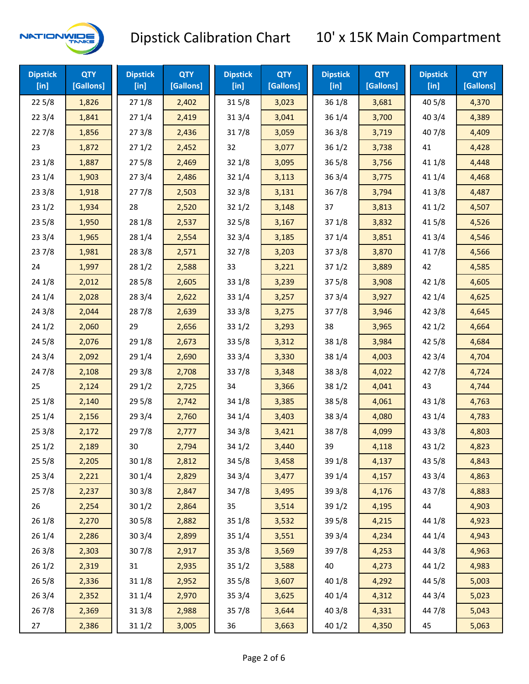

| <b>Dipstick</b><br>$[$ in] | <b>QTY</b><br>[Gallons] | <b>Dipstick</b><br>$[$ in] | <b>QTY</b><br>[Gallons] | <b>Dipstick</b><br>$[$ in] | <b>QTY</b><br>[Gallons] | <b>Dipstick</b><br>$[$ in] | <b>QTY</b><br>[Gallons] | <b>Dipstick</b><br>$[$ in] | <b>QTY</b><br>[Gallons] |
|----------------------------|-------------------------|----------------------------|-------------------------|----------------------------|-------------------------|----------------------------|-------------------------|----------------------------|-------------------------|
| 225/8                      | 1,826                   | 271/8                      | 2,402                   | 315/8                      | 3,023                   | 36 1/8                     | 3,681                   | 40 5/8                     | 4,370                   |
| 223/4                      | 1,841                   | 271/4                      | 2,419                   | 31 3/4                     | 3,041                   | 36 1/4                     | 3,700                   | 40 3/4                     | 4,389                   |
| 227/8                      | 1,856                   | 273/8                      | 2,436                   | 317/8                      | 3,059                   | 363/8                      | 3,719                   | 407/8                      | 4,409                   |
| 23                         | 1,872                   | 271/2                      | 2,452                   | 32                         | 3,077                   | 361/2                      | 3,738                   | 41                         | 4,428                   |
| 231/8                      | 1,887                   | 275/8                      | 2,469                   | 32 1/8                     | 3,095                   | 365/8                      | 3,756                   | 41 1/8                     | 4,448                   |
| 231/4                      | 1,903                   | 273/4                      | 2,486                   | 32 1/4                     | 3,113                   | 363/4                      | 3,775                   | 41 1/4                     | 4,468                   |
| 233/8                      | 1,918                   | 277/8                      | 2,503                   | 32 3/8                     | 3,131                   | 36 7/8                     | 3,794                   | 41 3/8                     | 4,487                   |
| 231/2                      | 1,934                   | 28                         | 2,520                   | 321/2                      | 3,148                   | 37                         | 3,813                   | 411/2                      | 4,507                   |
| 235/8                      | 1,950                   | 28 1/8                     | 2,537                   | 325/8                      | 3,167                   | 37 1/8                     | 3,832                   | 41 5/8                     | 4,526                   |
| 233/4                      | 1,965                   | 28 1/4                     | 2,554                   | 32 3/4                     | 3,185                   | 37 1/4                     | 3,851                   | 41 3/4                     | 4,546                   |
| 237/8                      | 1,981                   | 28 3/8                     | 2,571                   | 327/8                      | 3,203                   | 373/8                      | 3,870                   | 417/8                      | 4,566                   |
| 24                         | 1,997                   | 28 1/2                     | 2,588                   | 33                         | 3,221                   | 371/2                      | 3,889                   | 42                         | 4,585                   |
| 24 1/8                     | 2,012                   | 28 5/8                     | 2,605                   | 33 1/8                     | 3,239                   | 375/8                      | 3,908                   | 42 1/8                     | 4,605                   |
| 241/4                      | 2,028                   | 283/4                      | 2,622                   | 33 1/4                     | 3,257                   | 373/4                      | 3,927                   | 42 1/4                     | 4,625                   |
| 243/8                      | 2,044                   | 287/8                      | 2,639                   | 33 3/8                     | 3,275                   | 377/8                      | 3,946                   | 42 3/8                     | 4,645                   |
| 241/2                      | 2,060                   | 29                         | 2,656                   | 331/2                      | 3,293                   | 38                         | 3,965                   | 421/2                      | 4,664                   |
| 245/8                      | 2,076                   | 29 1/8                     | 2,673                   | 33 5/8                     | 3,312                   | 38 1/8                     | 3,984                   | 42 5/8                     | 4,684                   |
| 243/4                      | 2,092                   | 29 1/4                     | 2,690                   | 33 3/4                     | 3,330                   | 38 1/4                     | 4,003                   | 42 3/4                     | 4,704                   |
| 24 7/8                     | 2,108                   | 29 3/8                     | 2,708                   | 337/8                      | 3,348                   | 38 3/8                     | 4,022                   | 42 7/8                     | 4,724                   |
| 25                         | 2,124                   | 29 1/2                     | 2,725                   | 34                         | 3,366                   | 38 1/2                     | 4,041                   | 43                         | 4,744                   |
| 251/8                      | 2,140                   | 29 5/8                     | 2,742                   | 34 1/8                     | 3,385                   | 38 5/8                     | 4,061                   | 43 1/8                     | 4,763                   |
| 251/4                      | 2,156                   | 29 3/4                     | 2,760                   | 34 1/4                     | 3,403                   | 38 3/4                     | 4,080                   | 43 1/4                     | 4,783                   |
| 253/8                      | 2,172                   | 297/8                      | 2,777                   | 34 3/8                     | 3,421                   | 387/8                      | 4,099                   | 43 3/8                     | 4,803                   |
| 251/2                      | 2,189                   | 30                         | 2,794                   | 34 1/2                     | 3,440                   | 39                         | 4,118                   | 43 1/2                     | 4,823                   |
| 255/8                      | 2,205                   | 30 1/8                     | 2,812                   | 34 5/8                     | 3,458                   | 39 1/8                     | 4,137                   | 43 5/8                     | 4,843                   |
| 253/4                      | 2,221                   | 30 1/4                     | 2,829                   | 34 3/4                     | 3,477                   | 39 1/4                     | 4,157                   | 43 3/4                     | 4,863                   |
| 257/8                      | 2,237                   | 303/8                      | 2,847                   | 347/8                      | 3,495                   | 39 3/8                     | 4,176                   | 437/8                      | 4,883                   |
| 26                         | 2,254                   | 301/2                      | 2,864                   | 35                         | 3,514                   | 39 1/2                     | 4,195                   | 44                         | 4,903                   |
| 261/8                      | 2,270                   | 305/8                      | 2,882                   | 35 1/8                     | 3,532                   | 39 5/8                     | 4,215                   | 44 1/8                     | 4,923                   |
| 26 1/4                     | 2,286                   | 30 3/4                     | 2,899                   | 35 1/4                     | 3,551                   | 39 3/4                     | 4,234                   | 44 1/4                     | 4,943                   |
| 263/8                      | 2,303                   | 307/8                      | 2,917                   | 35 3/8                     | 3,569                   | 397/8                      | 4,253                   | 44 3/8                     | 4,963                   |
| 261/2                      | 2,319                   | 31                         | 2,935                   | 351/2                      | 3,588                   | 40                         | 4,273                   | 44 1/2                     | 4,983                   |
| 265/8                      | 2,336                   | 31 1/8                     | 2,952                   | 35 5/8                     | 3,607                   | 40 1/8                     | 4,292                   | 44 5/8                     | 5,003                   |
| 263/4                      | 2,352                   | 31 1/4                     | 2,970                   | 35 3/4                     | 3,625                   | 40 1/4                     | 4,312                   | 44 3/4                     | 5,023                   |
| 267/8                      | 2,369                   | 31 3/8                     | 2,988                   | 357/8                      | 3,644                   | 40 3/8                     | 4,331                   | 447/8                      | 5,043                   |
| 27                         | 2,386                   | 31 1/2                     | 3,005                   | 36                         | 3,663                   | 40 1/2                     | 4,350                   | 45                         | 5,063                   |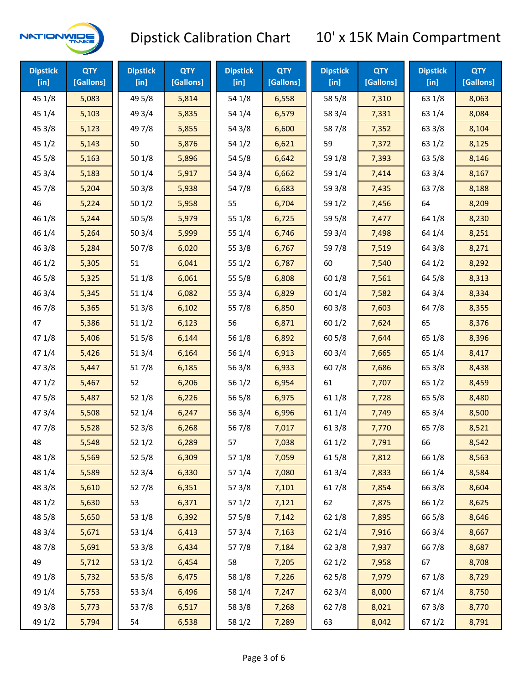

| <b>Dipstick</b><br>$[$ in] | <b>QTY</b><br>[Gallons] | <b>Dipstick</b><br>$[$ in] | <b>QTY</b><br>[Gallons] | <b>Dipstick</b><br>$[$ in] | <b>QTY</b><br>[Gallons] | <b>Dipstick</b><br>$[$ in] | <b>QTY</b><br>[Gallons] | <b>Dipstick</b><br>$[$ in] | <b>QTY</b><br>[Gallons] |
|----------------------------|-------------------------|----------------------------|-------------------------|----------------------------|-------------------------|----------------------------|-------------------------|----------------------------|-------------------------|
| 45 1/8                     | 5,083                   | 49 5/8                     | 5,814                   | 54 1/8                     | 6,558                   | 58 5/8                     | 7,310                   | 63 1/8                     | 8,063                   |
| 45 1/4                     | 5,103                   | 49 3/4                     | 5,835                   | 54 1/4                     | 6,579                   | 58 3/4                     | 7,331                   | 63 1/4                     | 8,084                   |
| 45 3/8                     | 5,123                   | 49 7/8                     | 5,855                   | 54 3/8                     | 6,600                   | 587/8                      | 7,352                   | 63 3/8                     | 8,104                   |
| 451/2                      | 5,143                   | 50                         | 5,876                   | 54 1/2                     | 6,621                   | 59                         | 7,372                   | 63 1/2                     | 8,125                   |
| 45 5/8                     | 5,163                   | 501/8                      | 5,896                   | 54 5/8                     | 6,642                   | 59 1/8                     | 7,393                   | 63 5/8                     | 8,146                   |
| 45 3/4                     | 5,183                   | 50 1/4                     | 5,917                   | 54 3/4                     | 6,662                   | 59 1/4                     | 7,414                   | 63 3/4                     | 8,167                   |
| 45 7/8                     | 5,204                   | 503/8                      | 5,938                   | 54 7/8                     | 6,683                   | 59 3/8                     | 7,435                   | 637/8                      | 8,188                   |
| 46                         | 5,224                   | 501/2                      | 5,958                   | 55                         | 6,704                   | 59 1/2                     | 7,456                   | 64                         | 8,209                   |
| 46 1/8                     | 5,244                   | 505/8                      | 5,979                   | 55 1/8                     | 6,725                   | 59 5/8                     | 7,477                   | 64 1/8                     | 8,230                   |
| 46 1/4                     | 5,264                   | 50 3/4                     | 5,999                   | 55 1/4                     | 6,746                   | 59 3/4                     | 7,498                   | 64 1/4                     | 8,251                   |
| 46 3/8                     | 5,284                   | 507/8                      | 6,020                   | 55 3/8                     | 6,767                   | 59 7/8                     | 7,519                   | 64 3/8                     | 8,271                   |
| 46 1/2                     | 5,305                   | 51                         | 6,041                   | 55 1/2                     | 6,787                   | 60                         | 7,540                   | 64 1/2                     | 8,292                   |
| 46 5/8                     | 5,325                   | 51 1/8                     | 6,061                   | 55 5/8                     | 6,808                   | 60 1/8                     | 7,561                   | 64 5/8                     | 8,313                   |
| 46 3/4                     | 5,345                   | 51 1/4                     | 6,082                   | 55 3/4                     | 6,829                   | 60 1/4                     | 7,582                   | 64 3/4                     | 8,334                   |
| 46 7/8                     | 5,365                   | 513/8                      | 6,102                   | 55 7/8                     | 6,850                   | 60 3/8                     | 7,603                   | 64 7/8                     | 8,355                   |
| 47                         | 5,386                   | 511/2                      | 6,123                   | 56                         | 6,871                   | 601/2                      | 7,624                   | 65                         | 8,376                   |
| 47 1/8                     | 5,406                   | 515/8                      | 6,144                   | 56 1/8                     | 6,892                   | 60 5/8                     | 7,644                   | 65 1/8                     | 8,396                   |
| 47 1/4                     | 5,426                   | 51 3/4                     | 6,164                   | 56 1/4                     | 6,913                   | 603/4                      | 7,665                   | 65 1/4                     | 8,417                   |
| 47 3/8                     | 5,447                   | 517/8                      | 6,185                   | 56 3/8                     | 6,933                   | 607/8                      | 7,686                   | 65 3/8                     | 8,438                   |
| 471/2                      | 5,467                   | 52                         | 6,206                   | 56 1/2                     | 6,954                   | 61                         | 7,707                   | 65 1/2                     | 8,459                   |
| 475/8                      | 5,487                   | 52 1/8                     | 6,226                   | 56 5/8                     | 6,975                   | 61 1/8                     | 7,728                   | 65 5/8                     | 8,480                   |
| 47 3/4                     | 5,508                   | 52 1/4                     | 6,247                   | 56 3/4                     | 6,996                   | 61 1/4                     | 7,749                   | 65 3/4                     | 8,500                   |
| 47 7/8                     | 5,528                   | 52 3/8                     | 6,268                   | 567/8                      | 7,017                   | 61 3/8                     | 7,770                   | 65 7/8                     | 8,521                   |
| 48                         | 5,548                   | 521/2                      | 6,289                   | 57                         | 7,038                   | 61 1/2                     | 7,791                   | 66                         | 8,542                   |
| 48 1/8                     | 5,569                   | 525/8                      | 6,309                   | 57 1/8                     | 7,059                   | 615/8                      | 7,812                   | 66 1/8                     | 8,563                   |
| 48 1/4                     | 5,589                   | 52 3/4                     | 6,330                   | 57 1/4                     | 7,080                   | 61 3/4                     | 7,833                   | 66 1/4                     | 8,584                   |
| 48 3/8                     | 5,610                   | 527/8                      | 6,351                   | 57 3/8                     | 7,101                   | 617/8                      | 7,854                   | 66 3/8                     | 8,604                   |
| 48 1/2                     | 5,630                   | 53                         | 6,371                   | 57 1/2                     | 7,121                   | 62                         | 7,875                   | 66 1/2                     | 8,625                   |
| 48 5/8                     | 5,650                   | 53 1/8                     | 6,392                   | 57 5/8                     | 7,142                   | 62 1/8                     | 7,895                   | 66 5/8                     | 8,646                   |
| 48 3/4                     | 5,671                   | 53 1/4                     | 6,413                   | 573/4                      | 7,163                   | 62 1/4                     | 7,916                   | 66 3/4                     | 8,667                   |
| 487/8                      | 5,691                   | 53 3/8                     | 6,434                   | 577/8                      | 7,184                   | 62 3/8                     | 7,937                   | 667/8                      | 8,687                   |
| 49                         | 5,712                   | 53 1/2                     | 6,454                   | 58                         | 7,205                   | 62 1/2                     | 7,958                   | 67                         | 8,708                   |
| 49 1/8                     | 5,732                   | 53 5/8                     | 6,475                   | 58 1/8                     | 7,226                   | 62 5/8                     | 7,979                   | 671/8                      | 8,729                   |
| 49 1/4                     | 5,753                   | 53 3/4                     | 6,496                   | 58 1/4                     | 7,247                   | 62 3/4                     | 8,000                   | 67 1/4                     | 8,750                   |
| 49 3/8                     | 5,773                   | 537/8                      | 6,517                   | 58 3/8                     | 7,268                   | 627/8                      | 8,021                   | 673/8                      | 8,770                   |
| 49 1/2                     | 5,794                   | 54                         | 6,538                   | 58 1/2                     | 7,289                   | 63                         | 8,042                   | 67 1/2                     | 8,791                   |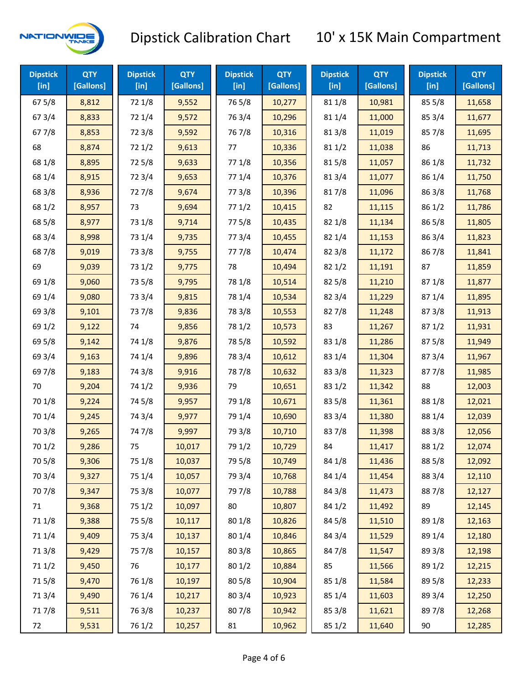

| <b>Dipstick</b><br>$[$ in] | <b>QTY</b><br>[Gallons] | <b>Dipstick</b><br>$[$ in] | <b>QTY</b><br>[Gallons] | <b>Dipstick</b><br>$[$ in] | <b>QTY</b><br>[Gallons] | <b>Dipstick</b><br>$[$ in] | <b>QTY</b><br>[Gallons] | <b>Dipstick</b><br>[in] | <b>QTY</b><br>[Gallons] |
|----------------------------|-------------------------|----------------------------|-------------------------|----------------------------|-------------------------|----------------------------|-------------------------|-------------------------|-------------------------|
| 67 5/8                     | 8,812                   | 72 1/8                     | 9,552                   | 765/8                      | 10,277                  | 81 1/8                     | 10,981                  | 85 5/8                  | 11,658                  |
| 67 3/4                     | 8,833                   | 72 1/4                     | 9,572                   | 763/4                      | 10,296                  | 81 1/4                     | 11,000                  | 85 3/4                  | 11,677                  |
| 67 7/8                     | 8,853                   | 72 3/8                     | 9,592                   | 76 7/8                     | 10,316                  | 81 3/8                     | 11,019                  | 857/8                   | 11,695                  |
| 68                         | 8,874                   | 72 1/2                     | 9,613                   | 77                         | 10,336                  | 811/2                      | 11,038                  | 86                      | 11,713                  |
| 68 1/8                     | 8,895                   | 725/8                      | 9,633                   | 77 1/8                     | 10,356                  | 815/8                      | 11,057                  | 86 1/8                  | 11,732                  |
| 68 1/4                     | 8,915                   | 72 3/4                     | 9,653                   | 77 1/4                     | 10,376                  | 813/4                      | 11,077                  | 86 1/4                  | 11,750                  |
| 68 3/8                     | 8,936                   | 727/8                      | 9,674                   | 77 3/8                     | 10,396                  | 817/8                      | 11,096                  | 86 3/8                  | 11,768                  |
| 68 1/2                     | 8,957                   | 73                         | 9,694                   | 771/2                      | 10,415                  | 82                         | 11,115                  | 86 1/2                  | 11,786                  |
| 68 5/8                     | 8,977                   | 73 1/8                     | 9,714                   | 775/8                      | 10,435                  | 82 1/8                     | 11,134                  | 86 5/8                  | 11,805                  |
| 68 3/4                     | 8,998                   | 73 1/4                     | 9,735                   | 773/4                      | 10,455                  | 82 1/4                     | 11,153                  | 86 3/4                  | 11,823                  |
| 687/8                      | 9,019                   | 73 3/8                     | 9,755                   | 777/8                      | 10,474                  | 82 3/8                     | 11,172                  | 867/8                   | 11,841                  |
| 69                         | 9,039                   | 73 1/2                     | 9,775                   | 78                         | 10,494                  | 821/2                      | 11,191                  | 87                      | 11,859                  |
| 69 1/8                     | 9,060                   | 73 5/8                     | 9,795                   | 78 1/8                     | 10,514                  | 825/8                      | 11,210                  | 871/8                   | 11,877                  |
| 69 1/4                     | 9,080                   | 73 3/4                     | 9,815                   | 78 1/4                     | 10,534                  | 823/4                      | 11,229                  | 87 1/4                  | 11,895                  |
| 69 3/8                     | 9,101                   | 737/8                      | 9,836                   | 78 3/8                     | 10,553                  | 827/8                      | 11,248                  | 87 3/8                  | 11,913                  |
| 69 1/2                     | 9,122                   | 74                         | 9,856                   | 78 1/2                     | 10,573                  | 83                         | 11,267                  | 871/2                   | 11,931                  |
| 69 5/8                     | 9,142                   | 74 1/8                     | 9,876                   | 78 5/8                     | 10,592                  | 83 1/8                     | 11,286                  | 875/8                   | 11,949                  |
| 69 3/4                     | 9,163                   | 74 1/4                     | 9,896                   | 78 3/4                     | 10,612                  | 83 1/4                     | 11,304                  | 87 3/4                  | 11,967                  |
| 697/8                      | 9,183                   | 74 3/8                     | 9,916                   | 787/8                      | 10,632                  | 83 3/8                     | 11,323                  | 877/8                   | 11,985                  |
| 70                         | 9,204                   | 74 1/2                     | 9,936                   | 79                         | 10,651                  | 83 1/2                     | 11,342                  | 88                      | 12,003                  |
| 70 1/8                     | 9,224                   | 74 5/8                     | 9,957                   | 79 1/8                     | 10,671                  | 83 5/8                     | 11,361                  | 88 1/8                  | 12,021                  |
| 70 1/4                     | 9,245                   | 74 3/4                     | 9,977                   | 79 1/4                     | 10,690                  | 83 3/4                     | 11,380                  | 88 1/4                  | 12,039                  |
| 70 3/8                     | 9,265                   | 747/8                      | 9,997                   | 79 3/8                     | 10,710                  | 837/8                      | 11,398                  | 88 3/8                  | 12,056                  |
| 70 1/2                     | 9,286                   | 75                         | 10,017                  | 79 1/2                     | 10,729                  | 84                         | 11,417                  | 88 1/2                  | 12,074                  |
| 70 5/8                     | 9,306                   | 75 1/8                     | 10,037                  | 79 5/8                     | 10,749                  | 84 1/8                     | 11,436                  | 88 5/8                  | 12,092                  |
| 70 3/4                     | 9,327                   | 75 1/4                     | 10,057                  | 79 3/4                     | 10,768                  | 84 1/4                     | 11,454                  | 88 3/4                  | 12,110                  |
| 70 7/8                     | 9,347                   | 75 3/8                     | 10,077                  | 79 7/8                     | 10,788                  | 84 3/8                     | 11,473                  | 887/8                   | 12,127                  |
| 71                         | 9,368                   | 75 1/2                     | 10,097                  | 80                         | 10,807                  | 84 1/2                     | 11,492                  | 89                      | 12,145                  |
| 71 1/8                     | 9,388                   | 75 5/8                     | 10,117                  | 80 1/8                     | 10,826                  | 84 5/8                     | 11,510                  | 89 1/8                  | 12,163                  |
| 711/4                      | 9,409                   | 75 3/4                     | 10,137                  | 80 1/4                     | 10,846                  | 84 3/4                     | 11,529                  | 89 1/4                  | 12,180                  |
| 713/8                      | 9,429                   | 75 7/8                     | 10,157                  | 803/8                      | 10,865                  | 847/8                      | 11,547                  | 89 3/8                  | 12,198                  |
| 71 1/2                     | 9,450                   | 76                         | 10,177                  | 80 1/2                     | 10,884                  | 85                         | 11,566                  | 89 1/2                  | 12,215                  |
| 715/8                      | 9,470                   | 76 1/8                     | 10,197                  | 80 5/8                     | 10,904                  | 85 1/8                     | 11,584                  | 89 5/8                  | 12,233                  |
| 713/4                      | 9,490                   | 76 1/4                     | 10,217                  | 80 3/4                     | 10,923                  | 85 1/4                     | 11,603                  | 89 3/4                  | 12,250                  |
| 717/8                      | 9,511                   | 763/8                      | 10,237                  | 807/8                      | 10,942                  | 85 3/8                     | 11,621                  | 897/8                   | 12,268                  |
| 72                         | 9,531                   | 76 1/2                     | 10,257                  | 81                         | 10,962                  | 85 1/2                     | 11,640                  | 90                      | 12,285                  |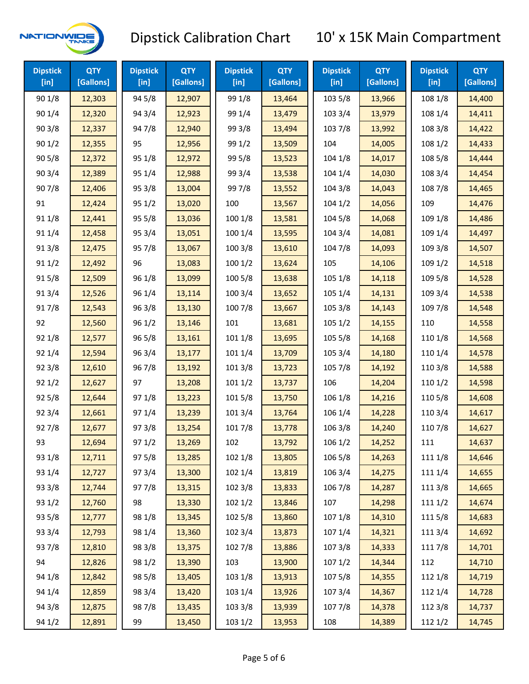

| <b>Dipstick</b><br>[in] | <b>QTY</b><br>[Gallons] | <b>Dipstick</b><br>[in] | <b>QTY</b><br>[Gallons] | <b>Dipstick</b><br>$[$ in] | <b>QTY</b><br>[Gallons] | <b>Dipstick</b><br>$[$ in] | <b>QTY</b><br>[Gallons] | <b>Dipstick</b><br>[in] | <b>QTY</b><br>[Gallons] |
|-------------------------|-------------------------|-------------------------|-------------------------|----------------------------|-------------------------|----------------------------|-------------------------|-------------------------|-------------------------|
| 90 1/8                  | 12,303                  | 94 5/8                  | 12,907                  | 99 1/8                     | 13,464                  | 103 5/8                    | 13,966                  | 108 1/8                 | 14,400                  |
| 90 1/4                  | 12,320                  | 94 3/4                  | 12,923                  | 99 1/4                     | 13,479                  | 103 3/4                    | 13,979                  | 108 1/4                 | 14,411                  |
| 90 3/8                  | 12,337                  | 947/8                   | 12,940                  | 99 3/8                     | 13,494                  | 103 7/8                    | 13,992                  | 108 3/8                 | 14,422                  |
| 901/2                   | 12,355                  | 95                      | 12,956                  | 99 1/2                     | 13,509                  | 104                        | 14,005                  | 108 1/2                 | 14,433                  |
| 90 5/8                  | 12,372                  | 95 1/8                  | 12,972                  | 99 5/8                     | 13,523                  | 104 1/8                    | 14,017                  | 108 5/8                 | 14,444                  |
| 90 3/4                  | 12,389                  | 95 1/4                  | 12,988                  | 99 3/4                     | 13,538                  | 104 1/4                    | 14,030                  | 108 3/4                 | 14,454                  |
| 907/8                   | 12,406                  | 95 3/8                  | 13,004                  | 997/8                      | 13,552                  | 104 3/8                    | 14,043                  | 108 7/8                 | 14,465                  |
| 91                      | 12,424                  | 95 1/2                  | 13,020                  | 100                        | 13,567                  | 1041/2                     | 14,056                  | 109                     | 14,476                  |
| 91 1/8                  | 12,441                  | 95 5/8                  | 13,036                  | 100 1/8                    | 13,581                  | 104 5/8                    | 14,068                  | 109 1/8                 | 14,486                  |
| 91 1/4                  | 12,458                  | 95 3/4                  | 13,051                  | 100 1/4                    | 13,595                  | 104 3/4                    | 14,081                  | 109 1/4                 | 14,497                  |
| 913/8                   | 12,475                  | 95 7/8                  | 13,067                  | 100 3/8                    | 13,610                  | 104 7/8                    | 14,093                  | 109 3/8                 | 14,507                  |
| 91 1/2                  | 12,492                  | 96                      | 13,083                  | 1001/2                     | 13,624                  | 105                        | 14,106                  | 109 1/2                 | 14,518                  |
| 915/8                   | 12,509                  | 96 1/8                  | 13,099                  | 100 5/8                    | 13,638                  | 105 1/8                    | 14,118                  | 109 5/8                 | 14,528                  |
| 913/4                   | 12,526                  | 96 1/4                  | 13,114                  | 100 3/4                    | 13,652                  | 105 1/4                    | 14,131                  | 109 3/4                 | 14,538                  |
| 917/8                   | 12,543                  | 96 3/8                  | 13,130                  | 100 7/8                    | 13,667                  | 105 3/8                    | 14,143                  | 109 7/8                 | 14,548                  |
| 92                      | 12,560                  | 96 1/2                  | 13,146                  | 101                        | 13,681                  | 105 1/2                    | 14,155                  | 110                     | 14,558                  |
| 92 1/8                  | 12,577                  | 96 5/8                  | 13,161                  | 101 1/8                    | 13,695                  | 105 5/8                    | 14,168                  | 110 1/8                 | 14,568                  |
| 92 1/4                  | 12,594                  | 96 3/4                  | 13,177                  | 101 1/4                    | 13,709                  | 105 3/4                    | 14,180                  | 110 1/4                 | 14,578                  |
| 92 3/8                  | 12,610                  | 967/8                   | 13,192                  | 101 3/8                    | 13,723                  | 105 7/8                    | 14,192                  | 110 3/8                 | 14,588                  |
| 921/2                   | 12,627                  | 97                      | 13,208                  | 1011/2                     | 13,737                  | 106                        | 14,204                  | 110 1/2                 | 14,598                  |
| 925/8                   | 12,644                  | 97 1/8                  | 13,223                  | 101 5/8                    | 13,750                  | 106 1/8                    | 14,216                  | 110 5/8                 | 14,608                  |
| 92 3/4                  | 12,661                  | 97 1/4                  | 13,239                  | 101 3/4                    | 13,764                  | 106 1/4                    | 14,228                  | 110 3/4                 | 14,617                  |
| 927/8                   | 12,677                  | 973/8                   | 13,254                  | 101 7/8                    | 13,778                  | 106 3/8                    | 14,240                  | 110 7/8                 | 14,627                  |
| 93                      | 12,694                  | 971/2                   | 13,269                  | 102                        | 13,792                  | 106 1/2                    | 14,252                  | 111                     | 14,637                  |
| 93 1/8                  | 12,711                  | 97 5/8                  | 13,285                  | 102 1/8                    | 13,805                  | 106 5/8                    | 14,263                  | 111 1/8                 | 14,646                  |
| 93 1/4                  | 12,727                  | 973/4                   | 13,300                  | 102 1/4                    | 13,819                  | 106 3/4                    | 14,275                  | 111 1/4                 | 14,655                  |
| 93 3/8                  | 12,744                  | 977/8                   | 13,315                  | 102 3/8                    | 13,833                  | 106 7/8                    | 14,287                  | 111 3/8                 | 14,665                  |
| 93 1/2                  | 12,760                  | 98                      | 13,330                  | 1021/2                     | 13,846                  | 107                        | 14,298                  | 1111/2                  | 14,674                  |
| 93 5/8                  | 12,777                  | 98 1/8                  | 13,345                  | 102 5/8                    | 13,860                  | 107 1/8                    | 14,310                  | 1115/8                  | 14,683                  |
| 93 3/4                  | 12,793                  | 98 1/4                  | 13,360                  | 102 3/4                    | 13,873                  | 107 1/4                    | 14,321                  | 111 3/4                 | 14,692                  |
| 937/8                   | 12,810                  | 98 3/8                  | 13,375                  | 102 7/8                    | 13,886                  | 1073/8                     | 14,333                  | 111 7/8                 | 14,701                  |
| 94                      | 12,826                  | 98 1/2                  | 13,390                  | 103                        | 13,900                  | 1071/2                     | 14,344                  | 112                     | 14,710                  |
| 94 1/8                  | 12,842                  | 98 5/8                  | 13,405                  | 103 1/8                    | 13,913                  | 107 5/8                    | 14,355                  | 112 1/8                 | 14,719                  |
| 94 1/4                  | 12,859                  | 98 3/4                  | 13,420                  | 103 1/4                    | 13,926                  | 107 3/4                    | 14,367                  | 112 1/4                 | 14,728                  |
| 94 3/8                  | 12,875                  | 987/8                   | 13,435                  | 103 3/8                    | 13,939                  | 1077/8                     | 14,378                  | 112 3/8                 | 14,737                  |
| 94 1/2                  | 12,891                  | 99                      | 13,450                  | 103 1/2                    | 13,953                  | 108                        | 14,389                  | 112 1/2                 | 14,745                  |